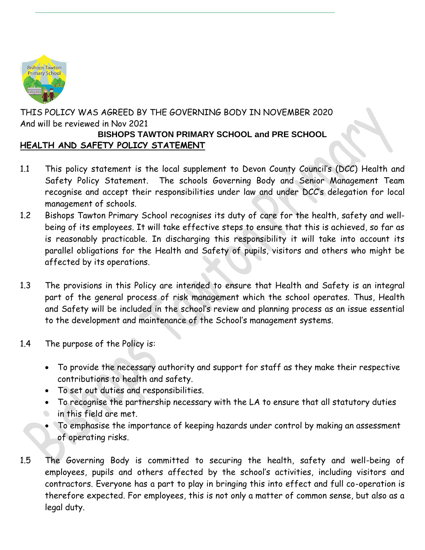

THIS POLICY WAS AGREED BY THE GOVERNING BODY IN NOVEMBER 2020 And will be reviewed in Nov 2021 **BISHOPS TAWTON PRIMARY SCHOOL and PRE SCHOOL**

### **HEALTH AND SAFETY POLICY STATEMENT**

- 1.1 This policy statement is the local supplement to Devon County Council's (DCC) Health and Safety Policy Statement. The schools Governing Body and Senior Management Team recognise and accept their responsibilities under law and under DCC's delegation for local management of schools.
- 1.2 Bishops Tawton Primary School recognises its duty of care for the health, safety and wellbeing of its employees. It will take effective steps to ensure that this is achieved, so far as is reasonably practicable. In discharging this responsibility it will take into account its parallel obligations for the Health and Safety of pupils, visitors and others who might be affected by its operations.
- 1.3 The provisions in this Policy are intended to ensure that Health and Safety is an integral part of the general process of risk management which the school operates. Thus, Health and Safety will be included in the school's review and planning process as an issue essential to the development and maintenance of the School's management systems.
- 1.4 The purpose of the Policy is:
	- To provide the necessary authority and support for staff as they make their respective contributions to health and safety.
	- To set out duties and responsibilities.
	- To recognise the partnership necessary with the LA to ensure that all statutory duties in this field are met.  $\bullet$
	- To emphasise the importance of keeping hazards under control by making an assessment of operating risks.
- 1.5 The Governing Body is committed to securing the health, safety and well-being of employees, pupils and others affected by the school's activities, including visitors and contractors. Everyone has a part to play in bringing this into effect and full co-operation is therefore expected. For employees, this is not only a matter of common sense, but also as a legal duty.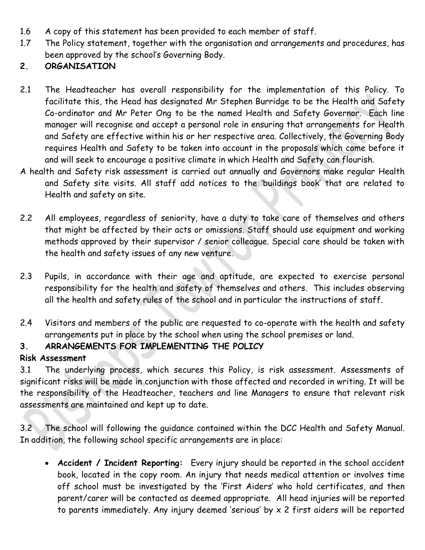- 1.6 A copy of this statement has been provided to each member of staff.
- 1.7 The Policy statement, together with the organisation and arrangements and procedures, has been approved by the school's Governing Body.

## **2. ORGANISATION**

- 2.1 The Headteacher has overall responsibility for the implementation of this Policy. To facilitate this, the Head has designated Mr Stephen Burridge to be the Health and Safety Co-ordinator and Mr Peter Ong to be the named Health and Safety Governor. Each line manager will recognise and accept a personal role in ensuring that arrangements for Health and Safety are effective within his or her respective area. Collectively, the Governing Body requires Health and Safety to be taken into account in the proposals which come before it and will seek to encourage a positive climate in which Health and Safety can flourish.
- A health and Safety risk assessment is carried out annually and Governors make regular Health and Safety site visits. All staff add notices to the 'buildings book' that are related to Health and safety on site.
- 2.2 All employees, regardless of seniority, have a duty to take care of themselves and others that might be affected by their acts or omissions. Staff should use equipment and working methods approved by their supervisor / senior colleague. Special care should be taken with the health and safety issues of any new venture.
- 2.3 Pupils, in accordance with their age and aptitude, are expected to exercise personal responsibility for the health and safety of themselves and others. This includes observing all the health and safety rules of the school and in particular the instructions of staff.
- 2.4 Visitors and members of the public are requested to co-operate with the health and safety arrangements put in place by the school when using the school premises or land.

# **3. ARRANGEMENTS FOR IMPLEMENTING THE POLICY**

### **Risk Assessment**

3.1 The underlying process, which secures this Policy, is risk assessment. Assessments of significant risks will be made in conjunction with those affected and recorded in writing. It will be the responsibility of the Headteacher, teachers and line Managers to ensure that relevant risk assessments are maintained and kept up to date.

3.2 The school will following the guidance contained within the DCC Health and Safety Manual. In addition, the following school specific arrangements are in place:

 **Accident / Incident Reporting:** Every injury should be reported in the school accident book, located in the copy room. An injury that needs medical attention or involves time off school must be investigated by the 'First Aiders' who hold certificates, and then parent/carer will be contacted as deemed appropriate. All head injuries will be reported to parents immediately. Any injury deemed 'serious' by  $x$  2 first aiders will be reported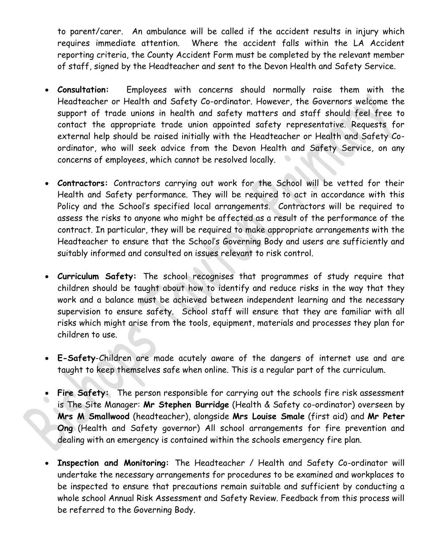to parent/carer. An ambulance will be called if the accident results in injury which requires immediate attention. Where the accident falls within the LA Accident reporting criteria, the County Accident Form must be completed by the relevant member of staff, signed by the Headteacher and sent to the Devon Health and Safety Service.

- **Consultation:** Employees with concerns should normally raise them with the Headteacher or Health and Safety Co-ordinator. However, the Governors welcome the support of trade unions in health and safety matters and staff should feel free to contact the appropriate trade union appointed safety representative. Requests for external help should be raised initially with the Headteacher or Health and Safety Coordinator, who will seek advice from the Devon Health and Safety Service, on any concerns of employees, which cannot be resolved locally.
- **Contractors:** Contractors carrying out work for the School will be vetted for their Health and Safety performance. They will be required to act in accordance with this Policy and the School's specified local arrangements. Contractors will be required to assess the risks to anyone who might be affected as a result of the performance of the contract. In particular, they will be required to make appropriate arrangements with the Headteacher to ensure that the School's Governing Body and users are sufficiently and suitably informed and consulted on issues relevant to risk control.
- **Curriculum Safety:** The school recognises that programmes of study require that children should be taught about how to identify and reduce risks in the way that they work and a balance must be achieved between independent learning and the necessary supervision to ensure safety. School staff will ensure that they are familiar with all risks which might arise from the tools, equipment, materials and processes they plan for children to use.
- **E-Safety**-Children are made acutely aware of the dangers of internet use and are taught to keep themselves safe when online. This is a regular part of the curriculum.
- **Fire Safety:** The person responsible for carrying out the schools fire risk assessment is The Site Manager: **Mr Stephen Burridge** (Health & Safety co-ordinator) overseen by **Mrs M Smallwood** (headteacher), alongside **Mrs Louise Smale** (first aid) and **Mr Peter Ong** (Health and Safety governor) All school arrangements for fire prevention and dealing with an emergency is contained within the schools emergency fire plan.
- **Inspection and Monitoring:** The Headteacher / Health and Safety Co-ordinator will undertake the necessary arrangements for procedures to be examined and workplaces to be inspected to ensure that precautions remain suitable and sufficient by conducting a whole school Annual Risk Assessment and Safety Review. Feedback from this process will be referred to the Governing Body.